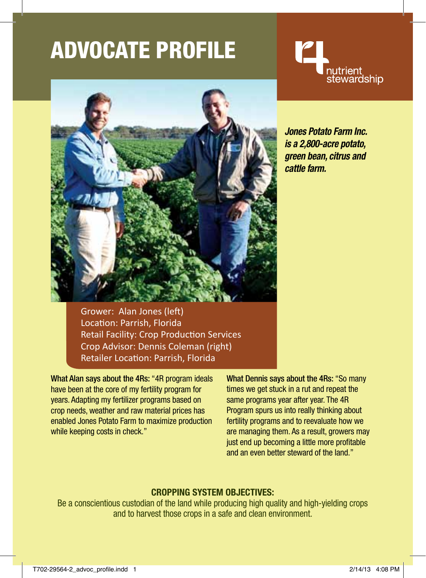# ADVocate Profile



Grower: Alan Jones (left) Location: Parrish, Florida Retail Facility: Crop Production Services Crop Advisor: Dennis Coleman (right) Retailer Location: Parrish, Florida

What Alan says about the 4Rs: "4R program ideals have been at the core of my fertility program for years. Adapting my fertilizer programs based on crop needs, weather and raw material prices has enabled Jones Potato Farm to maximize production while keeping costs in check."

What Dennis says about the 4Rs: "So many times we get stuck in a rut and repeat the same programs year after year. The 4R Program spurs us into really thinking about fertility programs and to reevaluate how we are managing them. As a result, growers may just end up becoming a little more profitable and an even better steward of the land."

### **Cropping System Objectives:**

Be a conscientious custodian of the land while producing high quality and high-yielding crops and to harvest those crops in a safe and clean environment.



*Jones Potato Farm Inc. is a 2,800-acre potato, green bean, citrus and cattle farm.*